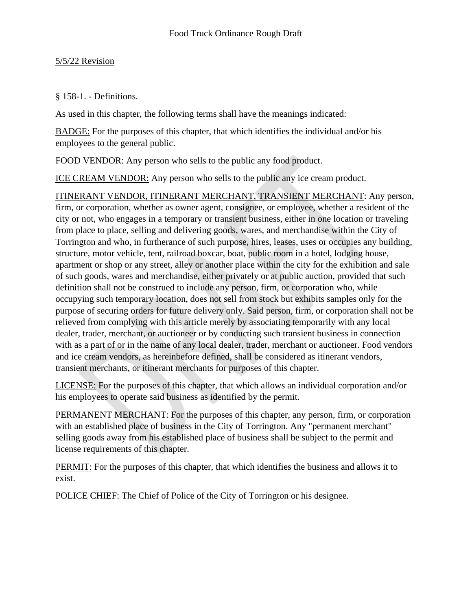#### 5/5/22 Revision

#### § 158-1. - Definitions.

As used in this chapter, the following terms shall have the meanings indicated:

BADGE: For the purposes of this chapter, that which identifies the individual and/or his employees to the general public.

FOOD VENDOR: Any person who sells to the public any food product.

ICE CREAM VENDOR: Any person who sells to the public any ice cream product.

ITINERANT VENDOR, ITINERANT MERCHANT, TRANSIENT MERCHANT: Any person, firm, or corporation, whether as owner agent, consignee, or employee, whether a resident of the city or not, who engages in a temporary or transient business, either in one location or traveling from place to place, selling and delivering goods, wares, and merchandise within the City of Torrington and who, in furtherance of such purpose, hires, leases, uses or occupies any building, structure, motor vehicle, tent, railroad boxcar, boat, public room in a hotel, lodging house, apartment or shop or any street, alley or another place within the city for the exhibition and sale of such goods, wares and merchandise, either privately or at public auction, provided that such definition shall not be construed to include any person, firm, or corporation who, while occupying such temporary location, does not sell from stock but exhibits samples only for the purpose of securing orders for future delivery only. Said person, firm, or corporation shall not be relieved from complying with this article merely by associating temporarily with any local dealer, trader, merchant, or auctioneer or by conducting such transient business in connection with as a part of or in the name of any local dealer, trader, merchant or auctioneer. Food vendors and ice cream vendors, as hereinbefore defined, shall be considered as itinerant vendors, transient merchants, or itinerant merchants for purposes of this chapter.

LICENSE: For the purposes of this chapter, that which allows an individual corporation and/or his employees to operate said business as identified by the permit.

PERMANENT MERCHANT: For the purposes of this chapter, any person, firm, or corporation with an established place of business in the City of Torrington. Any "permanent merchant" selling goods away from his established place of business shall be subject to the permit and license requirements of this chapter.

PERMIT: For the purposes of this chapter, that which identifies the business and allows it to exist.

POLICE CHIEF: The Chief of Police of the City of Torrington or his designee.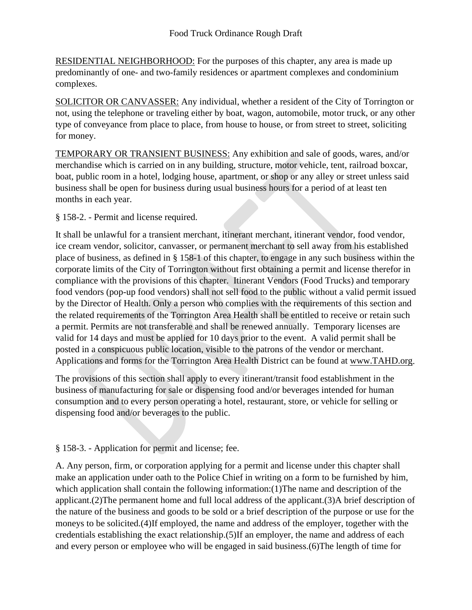RESIDENTIAL NEIGHBORHOOD: For the purposes of this chapter, any area is made up predominantly of one- and two-family residences or apartment complexes and condominium complexes.

SOLICITOR OR CANVASSER: Any individual, whether a resident of the City of Torrington or not, using the telephone or traveling either by boat, wagon, automobile, motor truck, or any other type of conveyance from place to place, from house to house, or from street to street, soliciting for money.

TEMPORARY OR TRANSIENT BUSINESS: Any exhibition and sale of goods, wares, and/or merchandise which is carried on in any building, structure, motor vehicle, tent, railroad boxcar, boat, public room in a hotel, lodging house, apartment, or shop or any alley or street unless said business shall be open for business during usual business hours for a period of at least ten months in each year.

§ 158-2. - Permit and license required.

It shall be unlawful for a transient merchant, itinerant merchant, itinerant vendor, food vendor, ice cream vendor, solicitor, canvasser, or permanent merchant to sell away from his established place of business, as defined in § 158-1 of this chapter, to engage in any such business within the corporate limits of the City of Torrington without first obtaining a permit and license therefor in compliance with the provisions of this chapter. Itinerant Vendors (Food Trucks) and temporary food vendors (pop-up food vendors) shall not sell food to the public without a valid permit issued by the Director of Health. Only a person who complies with the requirements of this section and the related requirements of the Torrington Area Health shall be entitled to receive or retain such a permit. Permits are not transferable and shall be renewed annually. Temporary licenses are valid for 14 days and must be applied for 10 days prior to the event. A valid permit shall be posted in a conspicuous public location, visible to the patrons of the vendor or merchant. Applications and forms for the Torrington Area Health District can be found at [www.TAHD.org.](http://www.tahd.org/)

The provisions of this section shall apply to every itinerant/transit food establishment in the business of manufacturing for sale or dispensing food and/or beverages intended for human consumption and to every person operating a hotel, restaurant, store, or vehicle for selling or dispensing food and/or beverages to the public.

§ 158-3. - Application for permit and license; fee.

A. Any person, firm, or corporation applying for a permit and license under this chapter shall make an application under oath to the Police Chief in writing on a form to be furnished by him, which application shall contain the following information:(1)The name and description of the applicant.(2)The permanent home and full local address of the applicant.(3)A brief description of the nature of the business and goods to be sold or a brief description of the purpose or use for the moneys to be solicited.(4)If employed, the name and address of the employer, together with the credentials establishing the exact relationship.(5)If an employer, the name and address of each and every person or employee who will be engaged in said business.(6)The length of time for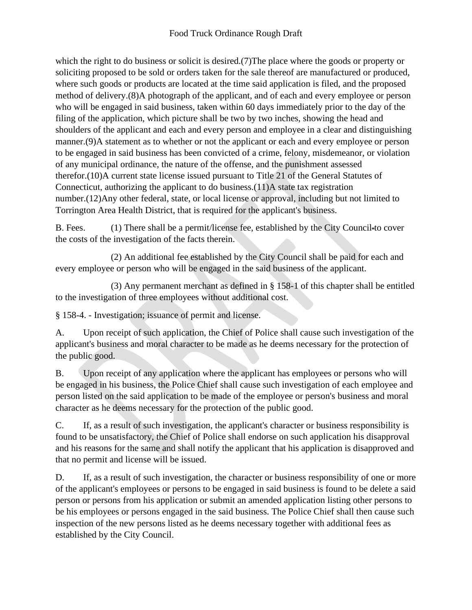which the right to do business or solicit is desired.(7)The place where the goods or property or soliciting proposed to be sold or orders taken for the sale thereof are manufactured or produced, where such goods or products are located at the time said application is filed, and the proposed method of delivery.(8)A photograph of the applicant, and of each and every employee or person who will be engaged in said business, taken within 60 days immediately prior to the day of the filing of the application, which picture shall be two by two inches, showing the head and shoulders of the applicant and each and every person and employee in a clear and distinguishing manner.(9)A statement as to whether or not the applicant or each and every employee or person to be engaged in said business has been convicted of a crime, felony, misdemeanor, or violation of any municipal ordinance, the nature of the offense, and the punishment assessed therefor.(10)A current state license issued pursuant to Title 21 of the General Statutes of Connecticut, authorizing the applicant to do business.(11)A state tax registration number.(12)Any other federal, state, or local license or approval, including but not limited to Torrington Area Health District, that is required for the applicant's business.

B. Fees. (1) There shall be a permit/license fee, established by the City Council-to cover the costs of the investigation of the facts therein.

(2) An additional fee established by the City Council shall be paid for each and every employee or person who will be engaged in the said business of the applicant.

(3) Any permanent merchant as defined in § 158-1 of this chapter shall be entitled to the investigation of three employees without additional cost.

§ 158-4. - Investigation; issuance of permit and license.

A. Upon receipt of such application, the Chief of Police shall cause such investigation of the applicant's business and moral character to be made as he deems necessary for the protection of the public good.

B. Upon receipt of any application where the applicant has employees or persons who will be engaged in his business, the Police Chief shall cause such investigation of each employee and person listed on the said application to be made of the employee or person's business and moral character as he deems necessary for the protection of the public good.

C. If, as a result of such investigation, the applicant's character or business responsibility is found to be unsatisfactory, the Chief of Police shall endorse on such application his disapproval and his reasons for the same and shall notify the applicant that his application is disapproved and that no permit and license will be issued.

D. If, as a result of such investigation, the character or business responsibility of one or more of the applicant's employees or persons to be engaged in said business is found to be delete a said person or persons from his application or submit an amended application listing other persons to be his employees or persons engaged in the said business. The Police Chief shall then cause such inspection of the new persons listed as he deems necessary together with additional fees as established by the City Council.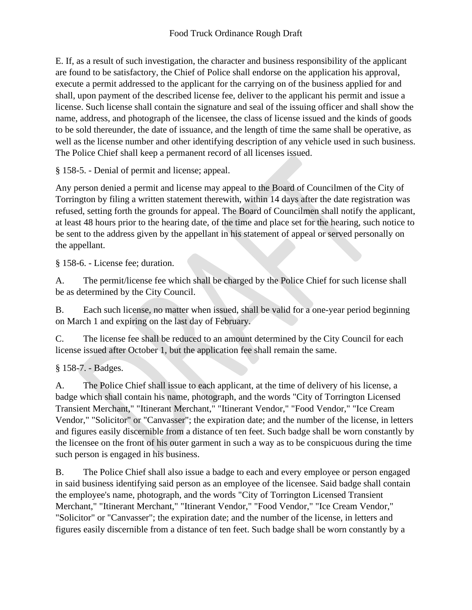E. If, as a result of such investigation, the character and business responsibility of the applicant are found to be satisfactory, the Chief of Police shall endorse on the application his approval, execute a permit addressed to the applicant for the carrying on of the business applied for and shall, upon payment of the described license fee, deliver to the applicant his permit and issue a license. Such license shall contain the signature and seal of the issuing officer and shall show the name, address, and photograph of the licensee, the class of license issued and the kinds of goods to be sold thereunder, the date of issuance, and the length of time the same shall be operative, as well as the license number and other identifying description of any vehicle used in such business. The Police Chief shall keep a permanent record of all licenses issued.

§ 158-5. - Denial of permit and license; appeal.

Any person denied a permit and license may appeal to the Board of Councilmen of the City of Torrington by filing a written statement therewith, within 14 days after the date registration was refused, setting forth the grounds for appeal. The Board of Councilmen shall notify the applicant, at least 48 hours prior to the hearing date, of the time and place set for the hearing, such notice to be sent to the address given by the appellant in his statement of appeal or served personally on the appellant.

§ 158-6. - License fee; duration.

A. The permit/license fee which shall be charged by the Police Chief for such license shall be as determined by the City Council.

B. Each such license, no matter when issued, shall be valid for a one-year period beginning on March 1 and expiring on the last day of February.

C. The license fee shall be reduced to an amount determined by the City Council for each license issued after October 1, but the application fee shall remain the same.

§ 158-7. - Badges.

A. The Police Chief shall issue to each applicant, at the time of delivery of his license, a badge which shall contain his name, photograph, and the words "City of Torrington Licensed Transient Merchant," "Itinerant Merchant," "Itinerant Vendor," "Food Vendor," "Ice Cream Vendor," "Solicitor" or "Canvasser"; the expiration date; and the number of the license, in letters and figures easily discernible from a distance of ten feet. Such badge shall be worn constantly by the licensee on the front of his outer garment in such a way as to be conspicuous during the time such person is engaged in his business.

B. The Police Chief shall also issue a badge to each and every employee or person engaged in said business identifying said person as an employee of the licensee. Said badge shall contain the employee's name, photograph, and the words "City of Torrington Licensed Transient Merchant," "Itinerant Merchant," "Itinerant Vendor," "Food Vendor," "Ice Cream Vendor," "Solicitor" or "Canvasser"; the expiration date; and the number of the license, in letters and figures easily discernible from a distance of ten feet. Such badge shall be worn constantly by a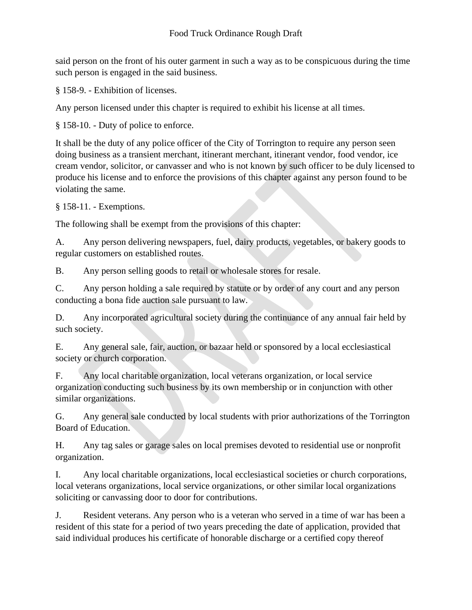said person on the front of his outer garment in such a way as to be conspicuous during the time such person is engaged in the said business.

§ 158-9. - Exhibition of licenses.

Any person licensed under this chapter is required to exhibit his license at all times.

§ 158-10. - Duty of police to enforce.

It shall be the duty of any police officer of the City of Torrington to require any person seen doing business as a transient merchant, itinerant merchant, itinerant vendor, food vendor, ice cream vendor, solicitor, or canvasser and who is not known by such officer to be duly licensed to produce his license and to enforce the provisions of this chapter against any person found to be violating the same.

§ 158-11. - Exemptions.

The following shall be exempt from the provisions of this chapter:

A. Any person delivering newspapers, fuel, dairy products, vegetables, or bakery goods to regular customers on established routes.

B. Any person selling goods to retail or wholesale stores for resale.

C. Any person holding a sale required by statute or by order of any court and any person conducting a bona fide auction sale pursuant to law.

D. Any incorporated agricultural society during the continuance of any annual fair held by such society.

E. Any general sale, fair, auction, or bazaar held or sponsored by a local ecclesiastical society or church corporation.

F. Any local charitable organization, local veterans organization, or local service organization conducting such business by its own membership or in conjunction with other similar organizations.

G. Any general sale conducted by local students with prior authorizations of the Torrington Board of Education.

H. Any tag sales or garage sales on local premises devoted to residential use or nonprofit organization.

I. Any local charitable organizations, local ecclesiastical societies or church corporations, local veterans organizations, local service organizations, or other similar local organizations soliciting or canvassing door to door for contributions.

J. Resident veterans. Any person who is a veteran who served in a time of war has been a resident of this state for a period of two years preceding the date of application, provided that said individual produces his certificate of honorable discharge or a certified copy thereof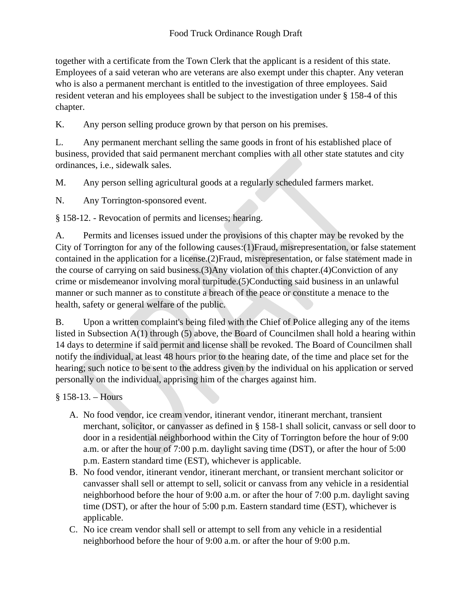together with a certificate from the Town Clerk that the applicant is a resident of this state. Employees of a said veteran who are veterans are also exempt under this chapter. Any veteran who is also a permanent merchant is entitled to the investigation of three employees. Said resident veteran and his employees shall be subject to the investigation under § 158-4 of this chapter.

K. Any person selling produce grown by that person on his premises.

L. Any permanent merchant selling the same goods in front of his established place of business, provided that said permanent merchant complies with all other state statutes and city ordinances, i.e., sidewalk sales.

M. Any person selling agricultural goods at a regularly scheduled farmers market.

N. Any Torrington-sponsored event.

§ 158-12. - Revocation of permits and licenses; hearing.

A. Permits and licenses issued under the provisions of this chapter may be revoked by the City of Torrington for any of the following causes:(1)Fraud, misrepresentation, or false statement contained in the application for a license.(2)Fraud, misrepresentation, or false statement made in the course of carrying on said business.(3)Any violation of this chapter.(4)Conviction of any crime or misdemeanor involving moral turpitude.(5)Conducting said business in an unlawful manner or such manner as to constitute a breach of the peace or constitute a menace to the health, safety or general welfare of the public.

B. Upon a written complaint's being filed with the Chief of Police alleging any of the items listed in Subsection A(1) through (5) above, the Board of Councilmen shall hold a hearing within 14 days to determine if said permit and license shall be revoked. The Board of Councilmen shall notify the individual, at least 48 hours prior to the hearing date, of the time and place set for the hearing; such notice to be sent to the address given by the individual on his application or served personally on the individual, apprising him of the charges against him.

§ 158-13. – Hours

- A. No food vendor, ice cream vendor, itinerant vendor, itinerant merchant, transient merchant, solicitor, or canvasser as defined in § 158-1 shall solicit, canvass or sell door to door in a residential neighborhood within the City of Torrington before the hour of 9:00 a.m. or after the hour of 7:00 p.m. daylight saving time (DST), or after the hour of 5:00 p.m. Eastern standard time (EST), whichever is applicable.
- B. No food vendor, itinerant vendor, itinerant merchant, or transient merchant solicitor or canvasser shall sell or attempt to sell, solicit or canvass from any vehicle in a residential neighborhood before the hour of 9:00 a.m. or after the hour of 7:00 p.m. daylight saving time (DST), or after the hour of 5:00 p.m. Eastern standard time (EST), whichever is applicable.
- C. No ice cream vendor shall sell or attempt to sell from any vehicle in a residential neighborhood before the hour of 9:00 a.m. or after the hour of 9:00 p.m.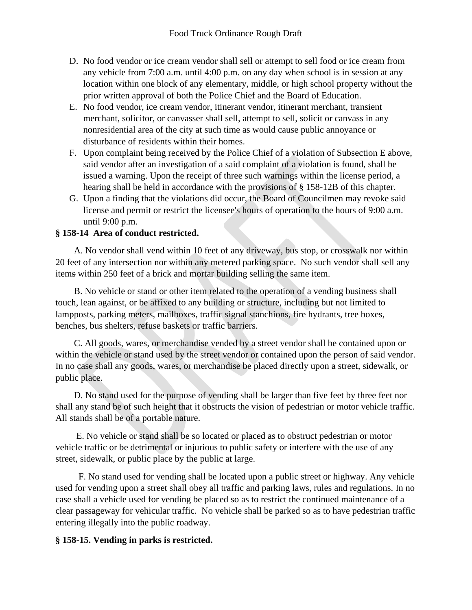- D. No food vendor or ice cream vendor shall sell or attempt to sell food or ice cream from any vehicle from 7:00 a.m. until 4:00 p.m. on any day when school is in session at any location within one block of any elementary, middle, or high school property without the prior written approval of both the Police Chief and the Board of Education.
- E. No food vendor, ice cream vendor, itinerant vendor, itinerant merchant, transient merchant, solicitor, or canvasser shall sell, attempt to sell, solicit or canvass in any nonresidential area of the city at such time as would cause public annoyance or disturbance of residents within their homes.
- F. Upon complaint being received by the Police Chief of a violation of Subsection E above, said vendor after an investigation of a said complaint of a violation is found, shall be issued a warning. Upon the receipt of three such warnings within the license period, a hearing shall be held in accordance with the provisions of § 158-12B of this chapter.
- G. Upon a finding that the violations did occur, the Board of Councilmen may revoke said license and permit or restrict the licensee's hours of operation to the hours of 9:00 a.m. until 9:00 p.m.

# **§ 158-14 Area of conduct restricted.**

 A. No vendor shall vend within 10 feet of any driveway, bus stop, or crosswalk nor within 20 feet of any intersection nor within any metered parking space. No such vendor shall sell any items within 250 feet of a brick and mortar building selling the same item.

 B. No vehicle or stand or other item related to the operation of a vending business shall touch, lean against, or be affixed to any building or structure, including but not limited to lampposts, parking meters, mailboxes, traffic signal stanchions, fire hydrants, tree boxes, benches, bus shelters, refuse baskets or traffic barriers.

 C. All goods, wares, or merchandise vended by a street vendor shall be contained upon or within the vehicle or stand used by the street vendor or contained upon the person of said vendor. In no case shall any goods, wares, or merchandise be placed directly upon a street, sidewalk, or public place.

 D. No stand used for the purpose of vending shall be larger than five feet by three feet nor shall any stand be of such height that it obstructs the vision of pedestrian or motor vehicle traffic. All stands shall be of a portable nature.

 E. No vehicle or stand shall be so located or placed as to obstruct pedestrian or motor vehicle traffic or be detrimental or injurious to public safety or interfere with the use of any street, sidewalk, or public place by the public at large.

 F. No stand used for vending shall be located upon a public street or highway. Any vehicle used for vending upon a street shall obey all traffic and parking laws, rules and regulations. In no case shall a vehicle used for vending be placed so as to restrict the continued maintenance of a clear passageway for vehicular traffic. No vehicle shall be parked so as to have pedestrian traffic entering illegally into the public roadway.

# **§ 158-15. Vending in parks is restricted.**